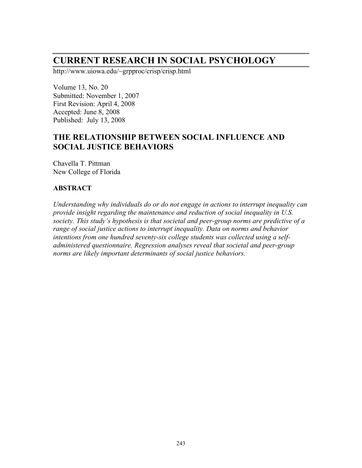# **CURRENT RESEARCH IN SOCIAL PSYCHOLOGY**

http://www.uiowa.edu/~grpproc/crisp/crisp.html

Volume 13, No. 20 Submitted: November 1, 2007 First Revision: April 4, 2008 Accepted: June 8, 2008 Published: July 13, 2008

# **THE RELATIONSHIP BETWEEN SOCIAL INFLUENCE AND SOCIAL JUSTICE BEHAVIORS**

Chavella T. Pittman New College of Florida

#### **ABSTRACT**

*Understanding why individuals do or do not engage in actions to interrupt inequality can provide insight regarding the maintenance and reduction of social inequality in U.S. society. This study's hypothesis is that societal and peer-group norms are predictive of a range of social justice actions to interrupt inequality. Data on norms and behavior intentions from one hundred seventy-six college students was collected using a selfadministered questionnaire. Regression analyses reveal that societal and peer-group norms are likely important determinants of social justice behaviors.*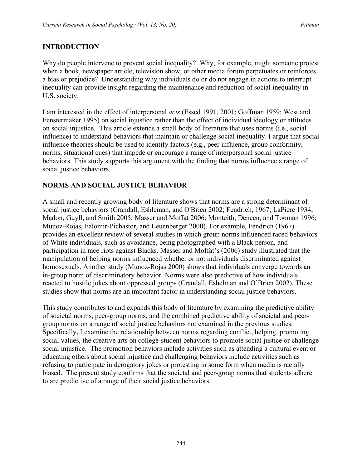#### **INTRODUCTION**

Why do people intervene to prevent social inequality? Why, for example, might someone protest when a book, newspaper article, television show, or other media forum perpetuates or reinforces a bias or prejudice? Understanding why individuals do or do not engage in actions to interrupt inequality can provide insight regarding the maintenance and reduction of social inequality in U.S. society.

I am interested in the effect of interpersonal *acts* (Essed 1991, 2001; Goffman 1959; West and Fenstermaker 1995) on social injustice rather than the effect of individual ideology or attitudes on social injustice. This article extends a small body of literature that uses norms (i.e., social influence) to understand behaviors that maintain or challenge social inequality. I argue that social influence theories should be used to identify factors (e.g., peer influence, group conformity, norms, situational cues) that impede or encourage a range of interpersonal social justice behaviors. This study supports this argument with the finding that norms influence a range of social justice behaviors.

#### **NORMS AND SOCIAL JUSTICE BEHAVIOR**

A small and recently growing body of literature shows that norms are a strong determinant of social justice behaviors (Crandall, Eshleman, and O'Brien 2002; Fendrich, 1967; LaPiere 1934; Madon, Guyll, and Smith 2005; Masser and Moffat 2006; Monteith, Deneen, and Tooman 1996; Munoz-Rojas, Falomir-Pichastor, and Leuenberger 2000). For example, Fendrich (1967) provides an excellent review of several studies in which group norms influenced raced behaviors of White individuals, such as avoidance, being photographed with a Black person, and participation in race riots against Blacks. Masser and Moffat's (2006) study illustrated that the manipulation of helping norms influenced whether or not individuals discriminated against homosexuals. Another study (Munoz-Rojas 2000) shows that individuals converge towards an in-group norm of discriminatory behavior. Norms were also predictive of how individuals reacted to hostile jokes about oppressed groups (Crandall, Eshelman and O'Brien 2002). These studies show that norms are an important factor in understanding social justice behaviors.

This study contributes to and expands this body of literature by examining the predictive ability of societal norms, peer-group norms, and the combined predictive ability of societal and peergroup norms on a range of social justice behaviors not examined in the previous studies. Specifically, I examine the relationship between norms regarding conflict, helping, promoting social values, the creative arts on college-student behaviors to promote social justice or challenge social injustice. The promotion behaviors include activities such as attending a cultural event or educating others about social injustice and challenging behaviors include activities such as refusing to participate in derogatory jokes or protesting in some form when media is racially biased. The present study confirms that the societal and peer-group norms that students adhere to are predictive of a range of their social justice behaviors.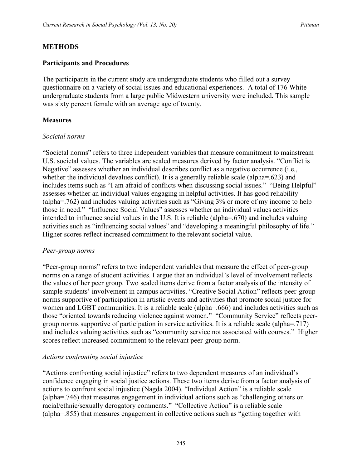#### **METHODS**

#### **Participants and Procedures**

The participants in the current study are undergraduate students who filled out a survey questionnaire on a variety of social issues and educational experiences. A total of 176 White undergraduate students from a large public Midwestern university were included. This sample was sixty percent female with an average age of twenty.

#### **Measures**

#### *Societal norms*

"Societal norms" refers to three independent variables that measure commitment to mainstream U.S. societal values. The variables are scaled measures derived by factor analysis. "Conflict is Negative" assesses whether an individual describes conflict as a negative occurrence (i.e., whether the individual devalues conflict). It is a generally reliable scale (alpha=.623) and includes items such as "I am afraid of conflicts when discussing social issues." "Being Helpful" assesses whether an individual values engaging in helpful activities. It has good reliability (alpha=.762) and includes valuing activities such as "Giving 3% or more of my income to help those in need." "Influence Social Values" assesses whether an individual values activities intended to influence social values in the U.S. It is reliable (alpha=.670) and includes valuing activities such as "influencing social values" and "developing a meaningful philosophy of life." Higher scores reflect increased commitment to the relevant societal value.

#### *Peer-group norms*

"Peer-group norms" refers to two independent variables that measure the effect of peer-group norms on a range of student activities. I argue that an individual's level of involvement reflects the values of her peer group. Two scaled items derive from a factor analysis of the intensity of sample students' involvement in campus activities. "Creative Social Action" reflects peer-group norms supportive of participation in artistic events and activities that promote social justice for women and LGBT communities. It is a reliable scale (alpha=.666) and includes activities such as those "oriented towards reducing violence against women." "Community Service" reflects peergroup norms supportive of participation in service activities. It is a reliable scale (alpha=.717) and includes valuing activities such as "community service not associated with courses." Higher scores reflect increased commitment to the relevant peer-group norm.

#### *Actions confronting social injustice*

"Actions confronting social injustice" refers to two dependent measures of an individual's confidence engaging in social justice actions. These two items derive from a factor analysis of actions to confront social injustice (Nagda 2004). "Individual Action" is a reliable scale (alpha=.746) that measures engagement in individual actions such as "challenging others on racial/ethnic/sexually derogatory comments." "Collective Action" is a reliable scale (alpha=.855) that measures engagement in collective actions such as "getting together with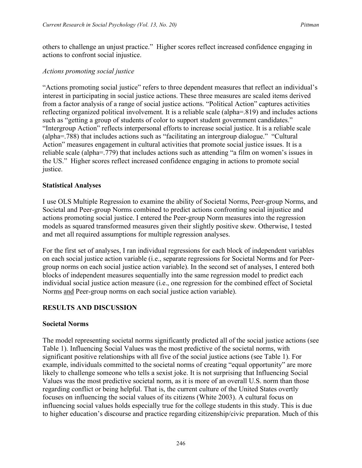others to challenge an unjust practice." Higher scores reflect increased confidence engaging in actions to confront social injustice.

#### *Actions promoting social justice*

"Actions promoting social justice" refers to three dependent measures that reflect an individual's interest in participating in social justice actions. These three measures are scaled items derived from a factor analysis of a range of social justice actions. "Political Action" captures activities reflecting organized political involvement. It is a reliable scale (alpha=.819) and includes actions such as "getting a group of students of color to support student government candidates." "Intergroup Action" reflects interpersonal efforts to increase social justice. It is a reliable scale (alpha=.788) that includes actions such as "facilitating an intergroup dialogue." "Cultural Action" measures engagement in cultural activities that promote social justice issues. It is a reliable scale (alpha=.779) that includes actions such as attending "a film on women's issues in the US." Higher scores reflect increased confidence engaging in actions to promote social justice.

### **Statistical Analyses**

I use OLS Multiple Regression to examine the ability of Societal Norms, Peer-group Norms, and Societal and Peer-group Norms combined to predict actions confronting social injustice and actions promoting social justice. I entered the Peer-group Norm measures into the regression models as squared transformed measures given their slightly positive skew. Otherwise, I tested and met all required assumptions for multiple regression analyses.

For the first set of analyses, I ran individual regressions for each block of independent variables on each social justice action variable (i.e., separate regressions for Societal Norms and for Peergroup norms on each social justice action variable). In the second set of analyses, I entered both blocks of independent measures sequentially into the same regression model to predict each individual social justice action measure (i.e., one regression for the combined effect of Societal Norms and Peer-group norms on each social justice action variable).

### **RESULTS AND DISCUSSION**

### **Societal Norms**

The model representing societal norms significantly predicted all of the social justice actions (see Table 1). Influencing Social Values was the most predictive of the societal norms, with significant positive relationships with all five of the social justice actions (see Table 1). For example, individuals committed to the societal norms of creating "equal opportunity" are more likely to challenge someone who tells a sexist joke. It is not surprising that Influencing Social Values was the most predictive societal norm, as it is more of an overall U.S. norm than those regarding conflict or being helpful. That is, the current culture of the United States overtly focuses on influencing the social values of its citizens (White 2003). A cultural focus on influencing social values holds especially true for the college students in this study. This is due to higher education's discourse and practice regarding citizenship/civic preparation. Much of this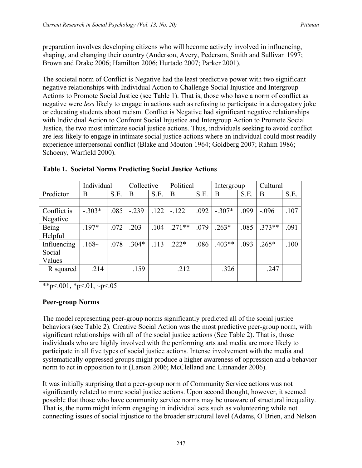preparation involves developing citizens who will become actively involved in influencing, shaping, and changing their country (Anderson, Avery, Pederson, Smith and Sullivan 1997; Brown and Drake 2006; Hamilton 2006; Hurtado 2007; Parker 2001).

The societal norm of Conflict is Negative had the least predictive power with two significant negative relationships with Individual Action to Challenge Social Injustice and Intergroup Actions to Promote Social Justice (see Table 1). That is, those who have a norm of conflict as negative were *less* likely to engage in actions such as refusing to participate in a derogatory joke or educating students about racism. Conflict is Negative had significant negative relationships with Individual Action to Confront Social Injustice and Intergroup Action to Promote Social Justice, the two most intimate social justice actions. Thus, individuals seeking to avoid conflict are less likely to engage in intimate social justice actions where an individual could most readily experience interpersonal conflict (Blake and Mouton 1964; Goldberg 2007; Rahim 1986; Schoeny, Warfield 2000).

|             | Individual |      | Collective |      | Political |      | Intergroup |      | Cultural |      |
|-------------|------------|------|------------|------|-----------|------|------------|------|----------|------|
| Predictor   | B          | S.E. | B          | S.E. | B         | S.E. | B          | S.E. | B        | S.E. |
|             |            |      |            |      |           |      |            |      |          |      |
| Conflict is | $-.303*$   | .085 | $-.239$    | .122 | $-.122$   | .092 | $-.307*$   | .099 | $-.096$  | .107 |
| Negative    |            |      |            |      |           |      |            |      |          |      |
| Being       | $.197*$    | .072 | .203       | .104 | $.271**$  | .079 | $.263*$    | .085 | $.373**$ | .091 |
| Helpful     |            |      |            |      |           |      |            |      |          |      |
| Influencing | .168~      | .078 | $.304*$    | .113 | $.222*$   | .086 | $.403**$   | .093 | $.265*$  | .100 |
| Social      |            |      |            |      |           |      |            |      |          |      |
| Values      |            |      |            |      |           |      |            |      |          |      |
| R squared   | .214       |      | .159       |      | .212      |      | .326       |      | .247     |      |
|             |            |      |            |      |           |      |            |      |          |      |

**Table 1. Societal Norms Predicting Social Justice Actions**

\*\*p $< 001$ , \*p $< 01$ , ~p $< 05$ 

### **Peer-group Norms**

The model representing peer-group norms significantly predicted all of the social justice behaviors (see Table 2). Creative Social Action was the most predictive peer-group norm, with significant relationships with all of the social justice actions (See Table 2). That is, those individuals who are highly involved with the performing arts and media are more likely to participate in all five types of social justice actions. Intense involvement with the media and systematically oppressed groups might produce a higher awareness of oppression and a behavior norm to act in opposition to it (Larson 2006; McClelland and Linnander 2006).

It was initially surprising that a peer-group norm of Community Service actions was not significantly related to more social justice actions. Upon second thought, however, it seemed possible that those who have community service norms may be unaware of structural inequality. That is, the norm might inform engaging in individual acts such as volunteering while not connecting issues of social injustice to the broader structural level (Adams, O'Brien, and Nelson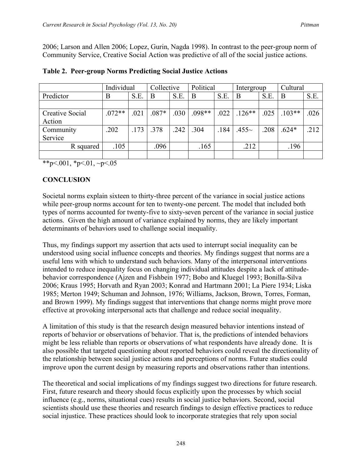2006; Larson and Allen 2006; Lopez, Gurin, Nagda 1998). In contrast to the peer-group norm of Community Service, Creative Social Action was predictive of all of the social justice actions.

|                 | Individual |      | Collective |      | Political |      | Intergroup |      | Cultural |      |
|-----------------|------------|------|------------|------|-----------|------|------------|------|----------|------|
| Predictor       | B          | S.E. | B          | S.E. | B         | S.E. | B          | S.E. | B        | S.E. |
|                 |            |      |            |      |           |      |            |      |          |      |
| Creative Social | $.072**$   | .021 | $.087*$    | .030 | $.098**$  | .022 | $.126**$   | .025 | $.103**$ | .026 |
| Action          |            |      |            |      |           |      |            |      |          |      |
| Community       | .202       | .173 | .378       | .242 | .304      | .184 | $.455\sim$ | .208 | $.624*$  | .212 |
| Service         |            |      |            |      |           |      |            |      |          |      |
| R squared       | .105       |      | .096       |      | .165      |      | .212       |      | .196     |      |
|                 |            |      |            |      |           |      |            |      |          |      |

#### **Table 2. Peer-group Norms Predicting Social Justice Actions**

\*\*p $< 001$ , \*p $< 01$ , ~p $< 05$ 

### **CONCLUSION**

Societal norms explain sixteen to thirty-three percent of the variance in social justice actions while peer-group norms account for ten to twenty-one percent. The model that included both types of norms accounted for twenty-five to sixty-seven percent of the variance in social justice actions. Given the high amount of variance explained by norms, they are likely important determinants of behaviors used to challenge social inequality.

Thus, my findings support my assertion that acts used to interrupt social inequality can be understood using social influence concepts and theories. My findings suggest that norms are a useful lens with which to understand such behaviors. Many of the interpersonal interventions intended to reduce inequality focus on changing individual attitudes despite a lack of attitudebehavior correspondence (Ajzen and Fishbein 1977; Bobo and Kluegel 1993; Bonilla-Silva 2006; Kraus 1995; Horvath and Ryan 2003; Konrad and Hartmann 2001; La Piere 1934; Liska 1985; Merton 1949; Schuman and Johnson, 1976; Williams, Jackson, Brown, Torres, Forman, and Brown 1999). My findings suggest that interventions that change norms might prove more effective at provoking interpersonal acts that challenge and reduce social inequality.

A limitation of this study is that the research design measured behavior intentions instead of reports of behavior or observations of behavior. That is, the predictions of intended behaviors might be less reliable than reports or observations of what respondents have already done. It is also possible that targeted questioning about reported behaviors could reveal the directionality of the relationship between social justice actions and perceptions of norms. Future studies could improve upon the current design by measuring reports and observations rather than intentions.

The theoretical and social implications of my findings suggest two directions for future research. First, future research and theory should focus explicitly upon the processes by which social influence (e.g., norms, situational cues) results in social justice behaviors. Second, social scientists should use these theories and research findings to design effective practices to reduce social injustice. These practices should look to incorporate strategies that rely upon social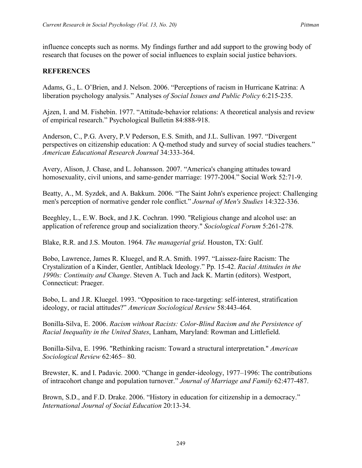influence concepts such as norms. My findings further and add support to the growing body of research that focuses on the power of social influences to explain social justice behaviors.

### **REFERENCES**

Adams, G., L. O'Brien, and J. Nelson. 2006. "Perceptions of racism in Hurricane Katrina: A liberation psychology analysis." Analyses *of Social Issues and Public Policy* 6:215-235.

Ajzen, I. and M. Fishebin. 1977. "Attitude-behavior relations: A theoretical analysis and review of empirical research." Psychological Bulletin 84:888-918.

Anderson, C., P.G. Avery, P.V Pederson, E.S. Smith, and J.L. Sullivan. 1997. "Divergent perspectives on citizenship education: A Q-method study and survey of social studies teachers." *American Educational Research Journal* 34:333-364.

Avery, Alison, J. Chase, and L. Johansson. 2007. "America's changing attitudes toward homosexuality, civil unions, and same-gender marriage: 1977-2004." Social Work 52:71-9.

Beatty, A., M. Syzdek, and A. Bakkum. 2006. "The Saint John's experience project: Challenging men's perception of normative gender role conflict." *Journal of Men's Studies* 14:322-336.

Beeghley, L., E.W. Bock, and J.K. Cochran. 1990. "Religious change and alcohol use: an application of reference group and socialization theory." *Sociological Forum* 5:261-278.

Blake, R.R. and J.S. Mouton. 1964. *The managerial grid*. Houston, TX: Gulf.

Bobo, Lawrence, James R. Kluegel, and R.A. Smith. 1997. "Laissez-faire Racism: The Crystalization of a Kinder, Gentler, Antiblack Ideology." Pp. 15-42. *Racial Attitudes in the 1990s: Continuity and Change*. Steven A. Tuch and Jack K. Martin (editors). Westport, Connecticut: Praeger.

Bobo, L. and J.R. Kluegel. 1993. "Opposition to race-targeting: self-interest, stratification ideology, or racial attitudes?" *American Sociological Review* 58:443-464.

Bonilla-Silva, E. 2006. *Racism without Racists: Color-Blind Racism and the Persistence of Racial Inequality in the United States*, Lanham, Maryland: Rowman and Littlefield.

Bonilla-Silva, E. 1996. "Rethinking racism: Toward a structural interpretation." *American Sociological Review* 62:465– 80.

Brewster, K. and I. Padavic. 2000. "Change in gender-ideology, 1977–1996: The contributions of intracohort change and population turnover." *Journal of Marriage and Family* 62:477-487.

Brown, S.D., and F.D. Drake. 2006. "History in education for citizenship in a democracy." *International Journal of Social Education* 20:13-34.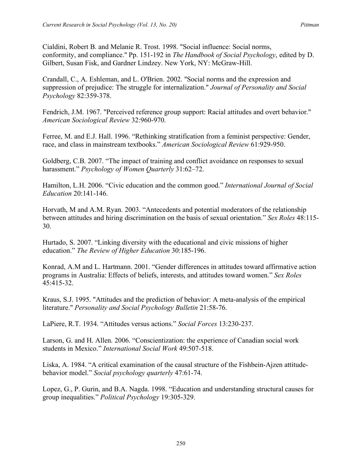Cialdini, Robert B. and Melanie R. Trost. 1998. "Social influence: Social norms, conformity, and compliance." Pp. 151-192 in *The Handbook of Social Psychology*, edited by D. Gilbert, Susan Fisk, and Gardner Lindzey. New York, NY: McGraw-Hill.

Crandall, C., A. Eshleman, and L. O'Brien. 2002. "Social norms and the expression and suppression of prejudice: The struggle for internalization." *Journal of Personality and Social Psychology* 82:359-378.

Fendrich, J.M. 1967. "Perceived reference group support: Racial attitudes and overt behavior." *American Sociological Review* 32:960-970.

Ferree, M. and E.J. Hall. 1996. "Rethinking stratification from a feminist perspective: Gender, race, and class in mainstream textbooks." *American Sociological Review* 61:929-950.

Goldberg, C.B. 2007. "The impact of training and conflict avoidance on responses to sexual harassment." *Psychology of Women Quarterly* 31:62–72.

Hamilton, L.H. 2006. "Civic education and the common good." *International Journal of Social Education* 20:141-146.

Horvath, M and A.M. Ryan. 2003. "Antecedents and potential moderators of the relationship between attitudes and hiring discrimination on the basis of sexual orientation." *Sex Roles* 48:115- 30.

Hurtado, S. 2007. "Linking diversity with the educational and civic missions of higher education." *The Review of Higher Education* 30:185-196.

Konrad, A.M and L. Hartmann. 2001. "Gender differences in attitudes toward affirmative action programs in Australia: Effects of beliefs, interests, and attitudes toward women." *Sex Roles* 45:415-32.

Kraus, S.J. 1995. "Attitudes and the prediction of behavior: A meta-analysis of the empirical literature." *Personality and Social Psychology Bulletin* 21:58-76.

LaPiere, R.T. 1934. "Attitudes versus actions." *Social Forces* 13:230-237.

Larson, G. and H. Allen. 2006. "Conscientization: the experience of Canadian social work students in Mexico." *International Social Work* 49:507-518.

Liska, A. 1984. "A critical examination of the causal structure of the Fishbein-Ajzen attitudebehavior model." *Social psychology quarterly* 47:61-74.

Lopez, G., P. Gurin, and B.A. Nagda. 1998. "Education and understanding structural causes for group inequalities." *Political Psychology* 19:305-329.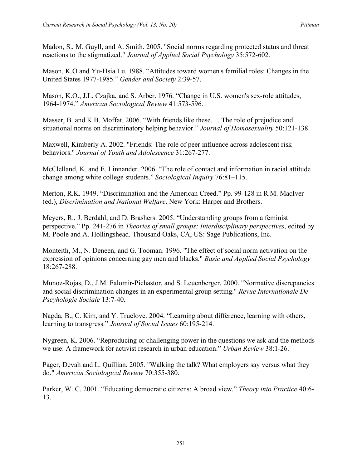Madon, S., M. Guyll, and A. Smith. 2005. "Social norms regarding protected status and threat reactions to the stigmatized." *Journal of Applied Social Psychology* 35:572-602.

Mason, K.O and Yu-Hsia Lu. 1988. "Attitudes toward women's familial roles: Changes in the United States 1977-1985." *Gender and Society* 2:39-57.

Mason, K.O., J.L. Czajka, and S. Arber. 1976. "Change in U.S. women's sex-role attitudes, 1964-1974." *American Sociological Review* 41:573-596.

Masser, B. and K.B. Moffat. 2006. "With friends like these. . . The role of prejudice and situational norms on discriminatory helping behavior." *Journal of Homosexuality* 50:121-138.

Maxwell, Kimberly A. 2002. "Friends: The role of peer influence across adolescent risk behaviors." *Journal of Youth and Adolescence* 31:267-277.

McClelland, K. and E. Linnander. 2006. "The role of contact and information in racial attitude change among white college students." *Sociological Inquiry* 76:81–115.

Merton, R.K. 1949. "Discrimination and the American Creed." Pp. 99-128 in R.M. MacIver (ed.), *Discrimination and National Welfare*. New York: Harper and Brothers.

Meyers, R., J. Berdahl, and D. Brashers. 2005. "Understanding groups from a feminist perspective." Pp. 241-276 in *Theories of small groups: Interdisciplinary perspectives*, edited by M. Poole and A. Hollingshead. Thousand Oaks, CA, US: Sage Publications, Inc.

Monteith, M., N. Deneen, and G. Tooman. 1996. "The effect of social norm activation on the expression of opinions concerning gay men and blacks." *Basic and Applied Social Psychology* 18:267-288.

Munoz-Rojas, D., J.M. Falomir-Pichastor, and S. Leuenberger. 2000. "Normative discrepancies and social discrimination changes in an experimental group setting." *Revue Internationale De Pscyhologie Sociale* 13:7-40.

Nagda, B., C. Kim, and Y. Truelove. 2004. "Learning about difference, learning with others, learning to transgress." *Journal of Social Issues* 60:195-214.

Nygreen, K. 2006. "Reproducing or challenging power in the questions we ask and the methods we use: A framework for activist research in urban education." *Urban Review* 38:1-26.

Pager, Devah and L. Quillian. 2005. "Walking the talk? What employers say versus what they do." *American Sociological Review* 70:355-380.

Parker, W. C. 2001. "Educating democratic citizens: A broad view." *Theory into Practice* 40:6- 13.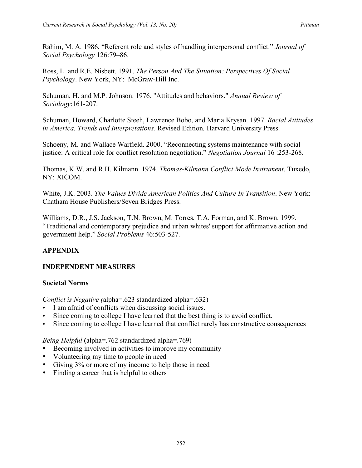Rahim, M. A. 1986. "Referent role and styles of handling interpersonal conflict." *Journal of Social Psychology* 126:79–86.

Ross, L. and R.E. Nisbett. 1991. *The Person And The Situation: Perspectives Of Social Psychology*. New York, NY: McGraw-Hill Inc.

Schuman, H. and M.P. Johnson. 1976. "Attitudes and behaviors." *Annual Review of Sociology*:161-207.

Schuman, Howard, Charlotte Steeh, Lawrence Bobo, and Maria Krysan. 1997. *Racial Attitudes in America. Trends and Interpretations.* Revised Edition*.* Harvard University Press.

Schoeny, M. and Wallace Warfield. 2000. "Reconnecting systems maintenance with social justice: A critical role for conflict resolution negotiation." *Negotiation Journal* 16 :253-268.

Thomas, K.W. and R.H. Kilmann. 1974. *Thomas-Kilmann Conflict Mode Instrument*. Tuxedo, NY: XICOM.

White, J.K. 2003. *The Values Divide American Politics And Culture In Transition*. New York: Chatham House Publishers/Seven Bridges Press.

Williams, D.R., J.S. Jackson, T.N. Brown, M. Torres, T.A. Forman, and K. Brown. 1999. "Traditional and contemporary prejudice and urban whites' support for affirmative action and government help." *Social Problems* 46:503-527.

# **APPENDIX**

# **INDEPENDENT MEASURES**

### **Societal Norms**

*Conflict is Negative (*alpha=.623 standardized alpha=.632)

- I am afraid of conflicts when discussing social issues.
- Since coming to college I have learned that the best thing is to avoid conflict.
- Since coming to college I have learned that conflict rarely has constructive consequences

*Being Helpful* **(**alpha=.762 standardized alpha=.769)

- Becoming involved in activities to improve my community
- Volunteering my time to people in need
- Giving 3% or more of my income to help those in need
- Finding a career that is helpful to others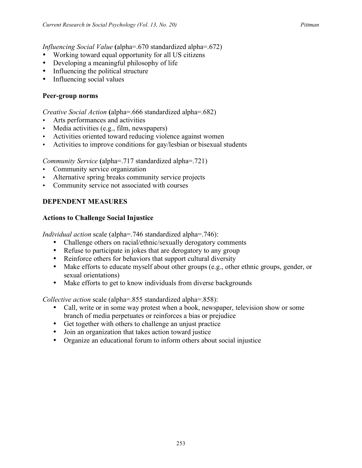*Influencing Social Value* **(**alpha=.670 standardized alpha=.672)

- Working toward equal opportunity for all US citizens
- Developing a meaningful philosophy of life
- Influencing the political structure
- Influencing social values

### **Peer-group norms**

*Creative Social Action* **(**alpha=.666 standardized alpha=.682)

- Arts performances and activities
- Media activities (e.g., film, newspapers)
- Activities oriented toward reducing violence against women
- Activities to improve conditions for gay/lesbian or bisexual students

*Community Service* **(**alpha=.717 standardized alpha=.721)

- Community service organization
- Alternative spring breaks community service projects
- Community service not associated with courses

### **DEPENDENT MEASURES**

### **Actions to Challenge Social Injustice**

*Individual action* scale (alpha=.746 standardized alpha=.746):

- Challenge others on racial/ethnic/sexually derogatory comments
- Refuse to participate in jokes that are derogatory to any group
- Reinforce others for behaviors that support cultural diversity
- Make efforts to educate myself about other groups (e.g., other ethnic groups, gender, or sexual orientations)
- Make efforts to get to know individuals from diverse backgrounds

*Collective action* scale (alpha=.855 standardized alpha=.858):

- Call, write or in some way protest when a book, newspaper, television show or some branch of media perpetuates or reinforces a bias or prejudice
- Get together with others to challenge an unjust practice
- Join an organization that takes action toward justice
- Organize an educational forum to inform others about social injustice